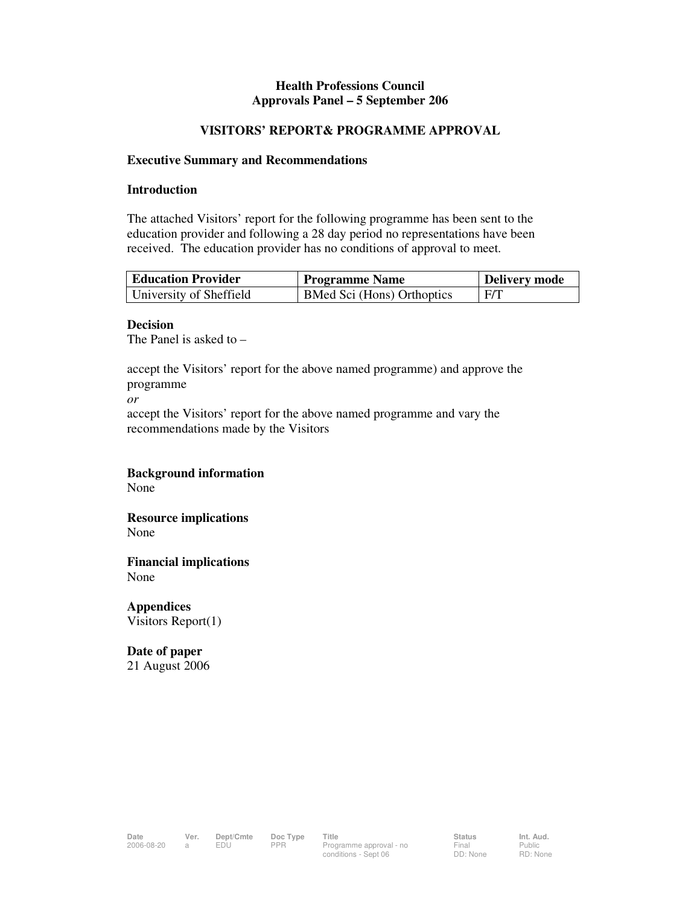#### **Health Professions Council Approvals Panel – 5 September 206**

#### **VISITORS' REPORT& PROGRAMME APPROVAL**

#### **Executive Summary and Recommendations**

#### **Introduction**

The attached Visitors' report for the following programme has been sent to the education provider and following a 28 day period no representations have been received. The education provider has no conditions of approval to meet.

| Education Provider      | Programme Name             | <b>Delivery mode</b> |
|-------------------------|----------------------------|----------------------|
| University of Sheffield | BMed Sci (Hons) Orthoptics | F/T                  |

#### **Decision**

The Panel is asked to –

accept the Visitors' report for the above named programme) and approve the programme

*or* 

accept the Visitors' report for the above named programme and vary the recommendations made by the Visitors

#### **Background information**

None

**Resource implications**  None

**Financial implications**  None

**Appendices**  Visitors Report(1)

**Date of paper**  21 August 2006

Public RD: None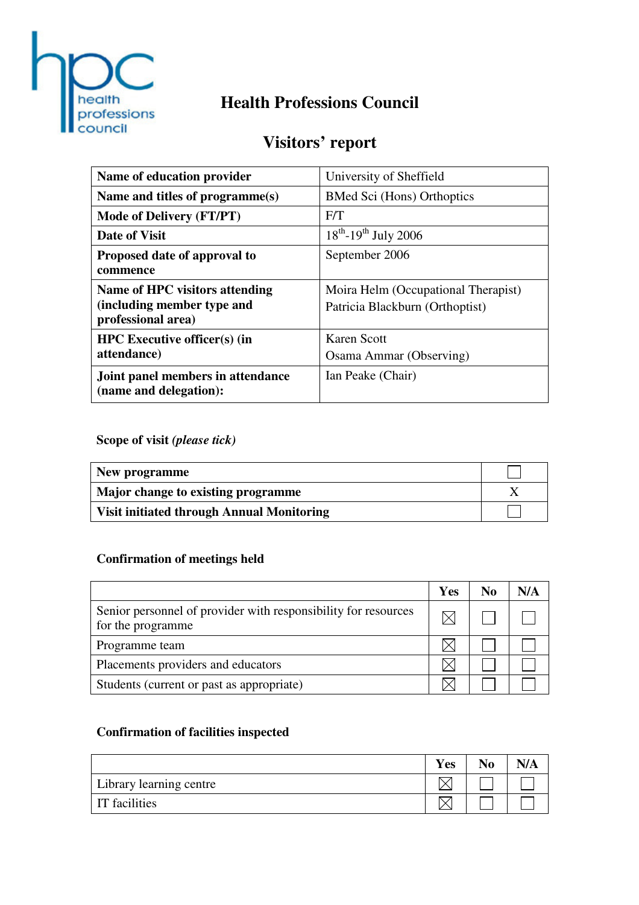

# **Health Professions Council**

# **Visitors' report**

| Name of education provider                                                         | University of Sheffield                                                |
|------------------------------------------------------------------------------------|------------------------------------------------------------------------|
| Name and titles of programme(s)                                                    | <b>BMed Sci (Hons) Orthoptics</b>                                      |
| <b>Mode of Delivery (FT/PT)</b>                                                    | F/T                                                                    |
| Date of Visit                                                                      | $18^{th}$ -19 <sup>th</sup> July 2006                                  |
| Proposed date of approval to<br>commence                                           | September 2006                                                         |
| Name of HPC visitors attending<br>(including member type and<br>professional area) | Moira Helm (Occupational Therapist)<br>Patricia Blackburn (Orthoptist) |
| <b>HPC</b> Executive officer(s) (in<br>attendance)                                 | Karen Scott<br>Osama Ammar (Observing)                                 |
| Joint panel members in attendance<br>(name and delegation):                        | Ian Peake (Chair)                                                      |

**Scope of visit** *(please tick)*

| New programme                                    |  |
|--------------------------------------------------|--|
| Major change to existing programme               |  |
| <b>Visit initiated through Annual Monitoring</b> |  |

# **Confirmation of meetings held**

|                                                                                     | Yes | No | N/A |
|-------------------------------------------------------------------------------------|-----|----|-----|
| Senior personnel of provider with responsibility for resources<br>for the programme |     |    |     |
| Programme team                                                                      |     |    |     |
| Placements providers and educators                                                  |     |    |     |
| Students (current or past as appropriate)                                           |     |    |     |

# **Confirmation of facilities inspected**

|                         | <b>Yes</b> | No | N/A |
|-------------------------|------------|----|-----|
| Library learning centre |            |    |     |
| <b>IT</b> facilities    |            |    |     |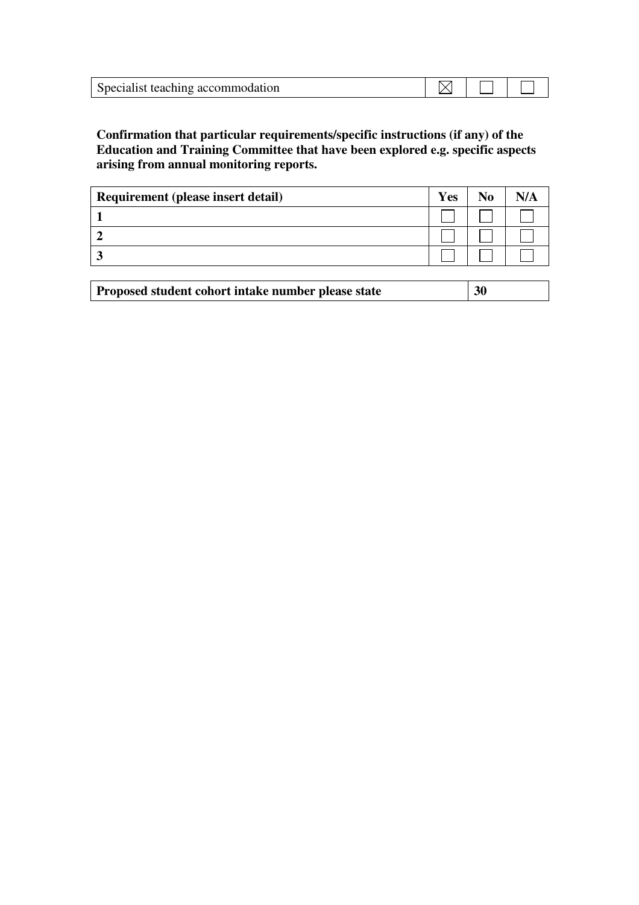| Specialist teaching accommodation |  |  |
|-----------------------------------|--|--|

## **Confirmation that particular requirements/specific instructions (if any) of the Education and Training Committee that have been explored e.g. specific aspects arising from annual monitoring reports.**

| Requirement (please insert detail) |  | $\bf N_0$ |  |
|------------------------------------|--|-----------|--|
|                                    |  |           |  |
|                                    |  |           |  |
|                                    |  |           |  |

| Proposed student cohort intake number please state | 30 |
|----------------------------------------------------|----|
|----------------------------------------------------|----|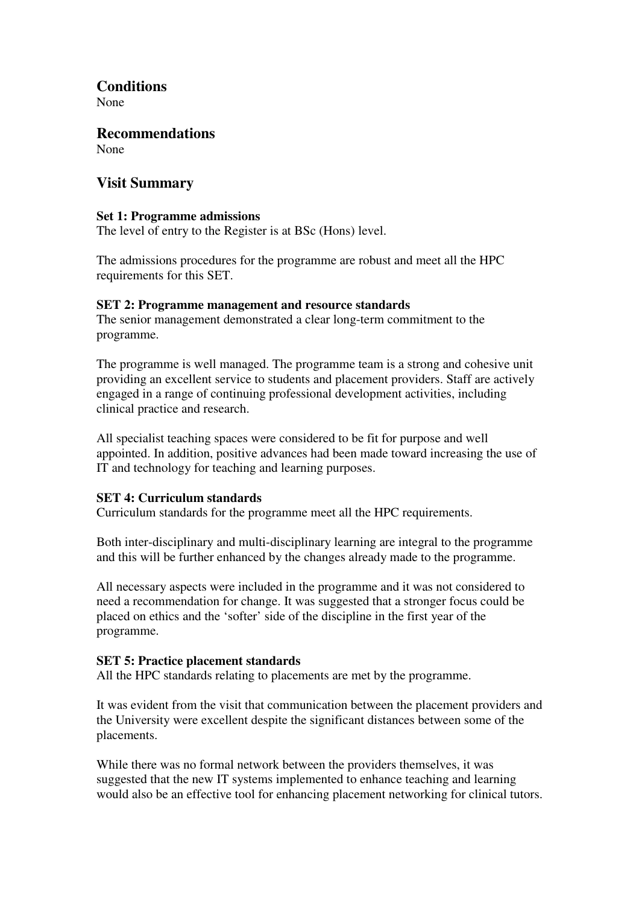## **Conditions**

None

**Recommendations**  None

## **Visit Summary**

### **Set 1: Programme admissions**

The level of entry to the Register is at BSc (Hons) level.

The admissions procedures for the programme are robust and meet all the HPC requirements for this SET.

### **SET 2: Programme management and resource standards**

The senior management demonstrated a clear long-term commitment to the programme.

The programme is well managed. The programme team is a strong and cohesive unit providing an excellent service to students and placement providers. Staff are actively engaged in a range of continuing professional development activities, including clinical practice and research.

All specialist teaching spaces were considered to be fit for purpose and well appointed. In addition, positive advances had been made toward increasing the use of IT and technology for teaching and learning purposes.

### **SET 4: Curriculum standards**

Curriculum standards for the programme meet all the HPC requirements.

Both inter-disciplinary and multi-disciplinary learning are integral to the programme and this will be further enhanced by the changes already made to the programme.

All necessary aspects were included in the programme and it was not considered to need a recommendation for change. It was suggested that a stronger focus could be placed on ethics and the 'softer' side of the discipline in the first year of the programme.

### **SET 5: Practice placement standards**

All the HPC standards relating to placements are met by the programme.

It was evident from the visit that communication between the placement providers and the University were excellent despite the significant distances between some of the placements.

While there was no formal network between the providers themselves, it was suggested that the new IT systems implemented to enhance teaching and learning would also be an effective tool for enhancing placement networking for clinical tutors.